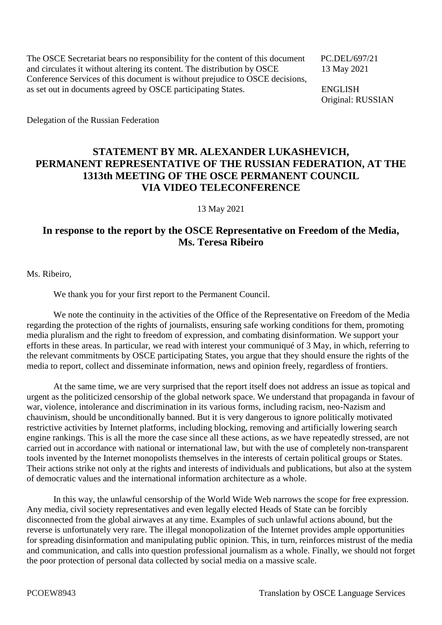The OSCE Secretariat bears no responsibility for the content of this document PC.DEL/697/21 and circulates it without altering its content. The distribution by OSCE 13 May 2021 Conference Services of this document is without prejudice to OSCE decisions, as set out in documents agreed by OSCE participating States. ENGLISH

Original: RUSSIAN

Delegation of the Russian Federation

## **STATEMENT BY MR. ALEXANDER LUKASHEVICH, PERMANENT REPRESENTATIVE OF THE RUSSIAN FEDERATION, AT THE 1313th MEETING OF THE OSCE PERMANENT COUNCIL VIA VIDEO TELECONFERENCE**

13 May 2021

## **In response to the report by the OSCE Representative on Freedom of the Media, Ms. Teresa Ribeiro**

Ms. Ribeiro,

We thank you for your first report to the Permanent Council.

We note the continuity in the activities of the Office of the Representative on Freedom of the Media regarding the protection of the rights of journalists, ensuring safe working conditions for them, promoting media pluralism and the right to freedom of expression, and combating disinformation. We support your efforts in these areas. In particular, we read with interest your communiqué of 3 May, in which, referring to the relevant commitments by OSCE participating States, you argue that they should ensure the rights of the media to report, collect and disseminate information, news and opinion freely, regardless of frontiers.

At the same time, we are very surprised that the report itself does not address an issue as topical and urgent as the politicized censorship of the global network space. We understand that propaganda in favour of war, violence, intolerance and discrimination in its various forms, including racism, neo-Nazism and chauvinism, should be unconditionally banned. But it is very dangerous to ignore politically motivated restrictive activities by Internet platforms, including blocking, removing and artificially lowering search engine rankings. This is all the more the case since all these actions, as we have repeatedly stressed, are not carried out in accordance with national or international law, but with the use of completely non-transparent tools invented by the Internet monopolists themselves in the interests of certain political groups or States. Their actions strike not only at the rights and interests of individuals and publications, but also at the system of democratic values and the international information architecture as a whole.

In this way, the unlawful censorship of the World Wide Web narrows the scope for free expression. Any media, civil society representatives and even legally elected Heads of State can be forcibly disconnected from the global airwaves at any time. Examples of such unlawful actions abound, but the reverse is unfortunately very rare. The illegal monopolization of the Internet provides ample opportunities for spreading disinformation and manipulating public opinion. This, in turn, reinforces mistrust of the media and communication, and calls into question professional journalism as a whole. Finally, we should not forget the poor protection of personal data collected by social media on a massive scale.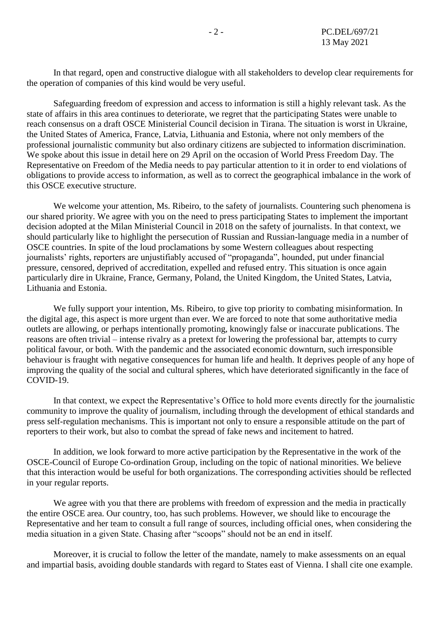In that regard, open and constructive dialogue with all stakeholders to develop clear requirements for the operation of companies of this kind would be very useful.

Safeguarding freedom of expression and access to information is still a highly relevant task. As the state of affairs in this area continues to deteriorate, we regret that the participating States were unable to reach consensus on a draft OSCE Ministerial Council decision in Tirana. The situation is worst in Ukraine, the United States of America, France, Latvia, Lithuania and Estonia, where not only members of the professional journalistic community but also ordinary citizens are subjected to information discrimination. We spoke about this issue in detail here on 29 April on the occasion of World Press Freedom Day. The Representative on Freedom of the Media needs to pay particular attention to it in order to end violations of obligations to provide access to information, as well as to correct the geographical imbalance in the work of this OSCE executive structure.

We welcome your attention, Ms. Ribeiro, to the safety of journalists. Countering such phenomena is our shared priority. We agree with you on the need to press participating States to implement the important decision adopted at the Milan Ministerial Council in 2018 on the safety of journalists. In that context, we should particularly like to highlight the persecution of Russian and Russian-language media in a number of OSCE countries. In spite of the loud proclamations by some Western colleagues about respecting journalists' rights, reporters are unjustifiably accused of "propaganda", hounded, put under financial pressure, censored, deprived of accreditation, expelled and refused entry. This situation is once again particularly dire in Ukraine, France, Germany, Poland, the United Kingdom, the United States, Latvia, Lithuania and Estonia.

We fully support your intention, Ms. Ribeiro, to give top priority to combating misinformation. In the digital age, this aspect is more urgent than ever. We are forced to note that some authoritative media outlets are allowing, or perhaps intentionally promoting, knowingly false or inaccurate publications. The reasons are often trivial – intense rivalry as a pretext for lowering the professional bar, attempts to curry political favour, or both. With the pandemic and the associated economic downturn, such irresponsible behaviour is fraught with negative consequences for human life and health. It deprives people of any hope of improving the quality of the social and cultural spheres, which have deteriorated significantly in the face of COVID-19.

In that context, we expect the Representative's Office to hold more events directly for the journalistic community to improve the quality of journalism, including through the development of ethical standards and press self-regulation mechanisms. This is important not only to ensure a responsible attitude on the part of reporters to their work, but also to combat the spread of fake news and incitement to hatred.

In addition, we look forward to more active participation by the Representative in the work of the OSCE-Council of Europe Co-ordination Group, including on the topic of national minorities. We believe that this interaction would be useful for both organizations. The corresponding activities should be reflected in your regular reports.

We agree with you that there are problems with freedom of expression and the media in practically the entire OSCE area. Our country, too, has such problems. However, we should like to encourage the Representative and her team to consult a full range of sources, including official ones, when considering the media situation in a given State. Chasing after "scoops" should not be an end in itself.

Moreover, it is crucial to follow the letter of the mandate, namely to make assessments on an equal and impartial basis, avoiding double standards with regard to States east of Vienna. I shall cite one example.